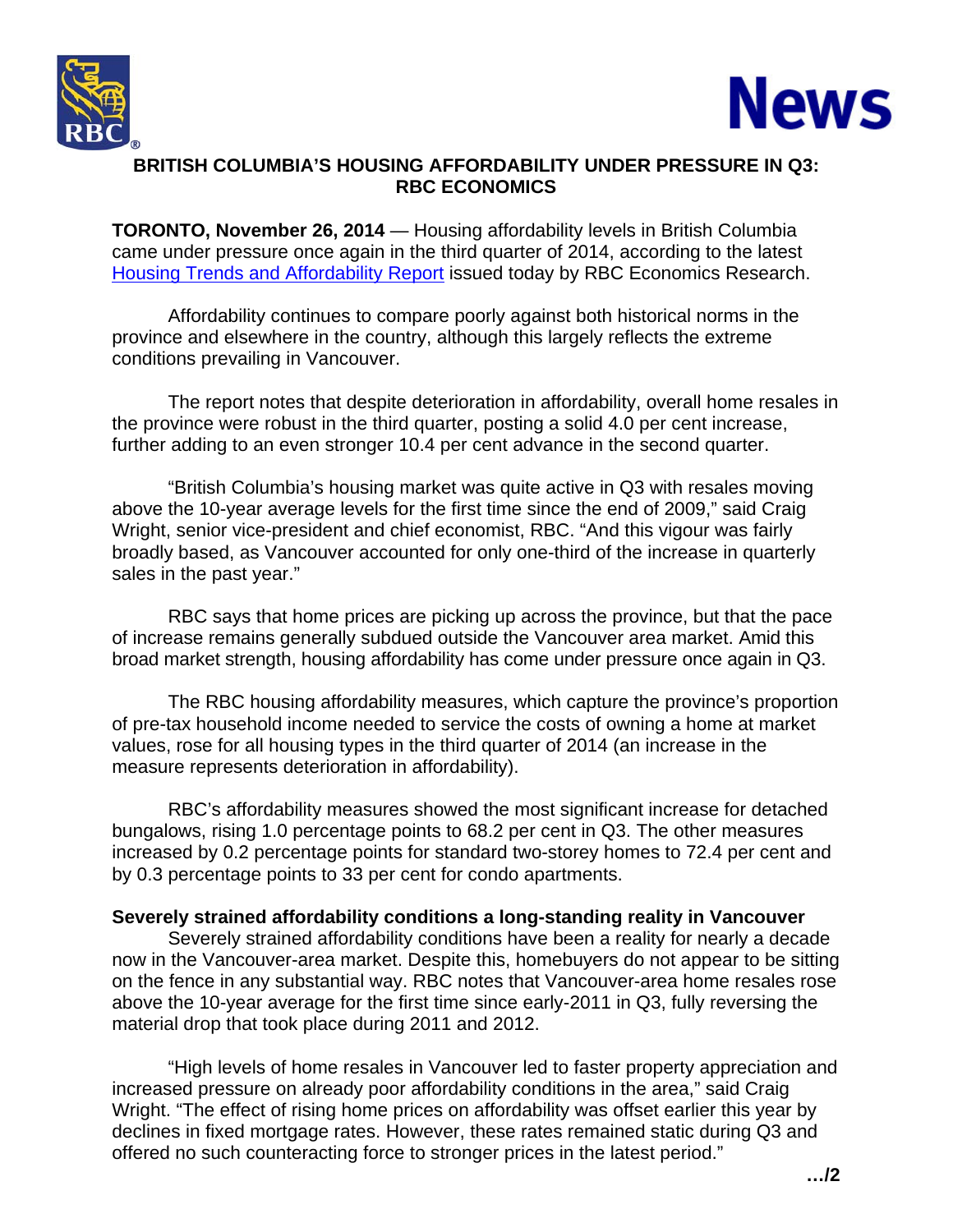



## **BRITISH COLUMBIA'S HOUSING AFFORDABILITY UNDER PRESSURE IN Q3: RBC ECONOMICS**

**TORONTO, November 26, 2014** — Housing affordability levels in British Columbia came under pressure once again in the third quarter of 2014, according to the latest [Housing Trends and Affordability Report](http://www.rbc.com/newsroom/_assets-custom/pdf/20141126-HA.pdf) issued today by RBC Economics Research.

 Affordability continues to compare poorly against both historical norms in the province and elsewhere in the country, although this largely reflects the extreme conditions prevailing in Vancouver.

The report notes that despite deterioration in affordability, overall home resales in the province were robust in the third quarter, posting a solid 4.0 per cent increase, further adding to an even stronger 10.4 per cent advance in the second quarter.

"British Columbia's housing market was quite active in Q3 with resales moving above the 10-year average levels for the first time since the end of 2009," said Craig Wright, senior vice-president and chief economist, RBC. "And this vigour was fairly broadly based, as Vancouver accounted for only one-third of the increase in quarterly sales in the past year."

RBC says that home prices are picking up across the province, but that the pace of increase remains generally subdued outside the Vancouver area market. Amid this broad market strength, housing affordability has come under pressure once again in Q3.

The RBC housing affordability measures, which capture the province's proportion of pre-tax household income needed to service the costs of owning a home at market values, rose for all housing types in the third quarter of 2014 (an increase in the measure represents deterioration in affordability).

RBC's affordability measures showed the most significant increase for detached bungalows, rising 1.0 percentage points to 68.2 per cent in Q3. The other measures increased by 0.2 percentage points for standard two-storey homes to 72.4 per cent and by 0.3 percentage points to 33 per cent for condo apartments.

# **Severely strained affordability conditions a long-standing reality in Vancouver**

Severely strained affordability conditions have been a reality for nearly a decade now in the Vancouver-area market. Despite this, homebuyers do not appear to be sitting on the fence in any substantial way. RBC notes that Vancouver-area home resales rose above the 10-year average for the first time since early-2011 in Q3, fully reversing the material drop that took place during 2011 and 2012.

"High levels of home resales in Vancouver led to faster property appreciation and increased pressure on already poor affordability conditions in the area," said Craig Wright. "The effect of rising home prices on affordability was offset earlier this year by declines in fixed mortgage rates. However, these rates remained static during Q3 and offered no such counteracting force to stronger prices in the latest period."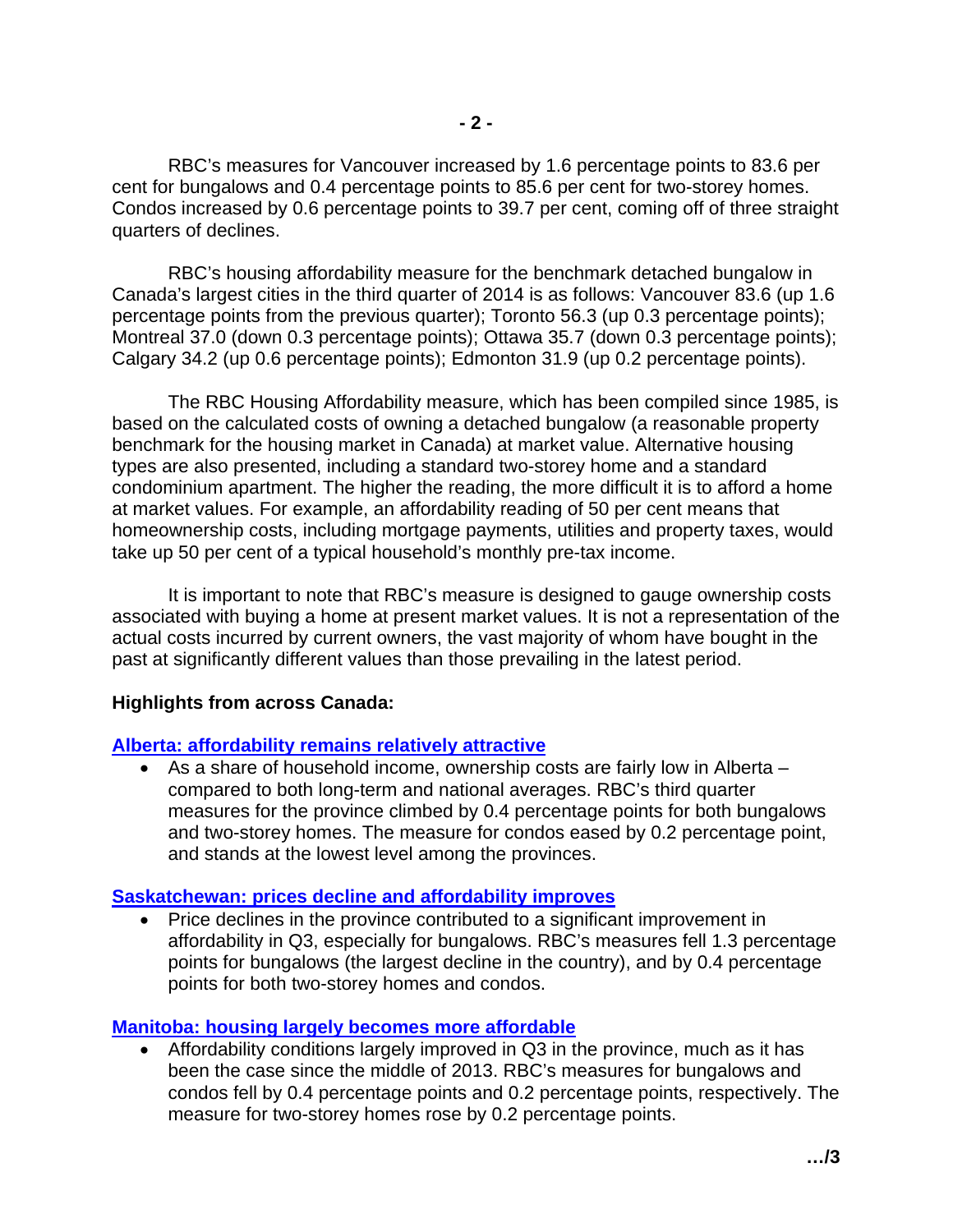RBC's measures for Vancouver increased by 1.6 percentage points to 83.6 per cent for bungalows and 0.4 percentage points to 85.6 per cent for two-storey homes. Condos increased by 0.6 percentage points to 39.7 per cent, coming off of three straight quarters of declines.

RBC's housing affordability measure for the benchmark detached bungalow in Canada's largest cities in the third quarter of 2014 is as follows: Vancouver 83.6 (up 1.6 percentage points from the previous quarter); Toronto 56.3 (up 0.3 percentage points); Montreal 37.0 (down 0.3 percentage points); Ottawa 35.7 (down 0.3 percentage points); Calgary 34.2 (up 0.6 percentage points); Edmonton 31.9 (up 0.2 percentage points).

The RBC Housing Affordability measure, which has been compiled since 1985, is based on the calculated costs of owning a detached bungalow (a reasonable property benchmark for the housing market in Canada) at market value. Alternative housing types are also presented, including a standard two-storey home and a standard condominium apartment. The higher the reading, the more difficult it is to afford a home at market values. For example, an affordability reading of 50 per cent means that homeownership costs, including mortgage payments, utilities and property taxes, would take up 50 per cent of a typical household's monthly pre-tax income.

It is important to note that RBC's measure is designed to gauge ownership costs associated with buying a home at present market values. It is not a representation of the actual costs incurred by current owners, the vast majority of whom have bought in the past at significantly different values than those prevailing in the latest period.

#### **Highlights from across Canada:**

# **[Alberta: affordability remains relatively attractive](http://www.rbc.com/newsroom/_assets-custom/pdf/20141126-ALTA.pdf)**

 As a share of household income, ownership costs are fairly low in Alberta – compared to both long-term and national averages. RBC's third quarter measures for the province climbed by 0.4 percentage points for both bungalows and two-storey homes. The measure for condos eased by 0.2 percentage point, and stands at the lowest level among the provinces.

# **[Saskatchewan: prices decline and affordability improves](http://www.rbc.com/newsroom/_assets-custom/pdf/20141126-SK.pdf)**

• Price declines in the province contributed to a significant improvement in affordability in Q3, especially for bungalows. RBC's measures fell 1.3 percentage points for bungalows (the largest decline in the country), and by 0.4 percentage points for both two-storey homes and condos.

# **[Manitoba: housing largely becomes more affordable](http://www.rbc.com/newsroom/_assets-custom/pdf/20141126-MB.pdf)**

 Affordability conditions largely improved in Q3 in the province, much as it has been the case since the middle of 2013. RBC's measures for bungalows and condos fell by 0.4 percentage points and 0.2 percentage points, respectively. The measure for two-storey homes rose by 0.2 percentage points.